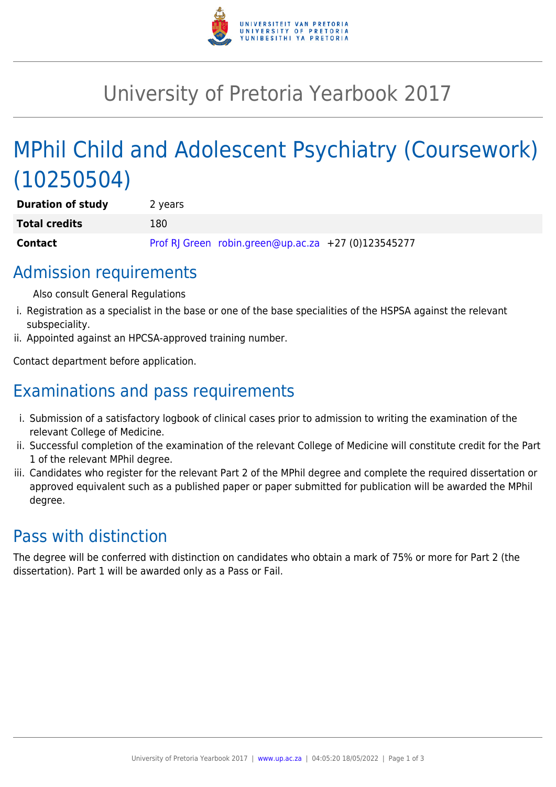

## University of Pretoria Yearbook 2017

# MPhil Child and Adolescent Psychiatry (Coursework) (10250504)

| <b>Duration of study</b> | 2 years |                                                     |  |
|--------------------------|---------|-----------------------------------------------------|--|
| <b>Total credits</b>     | 180     |                                                     |  |
| <b>Contact</b>           |         | Prof RJ Green robin.green@up.ac.za +27 (0)123545277 |  |

#### Admission requirements

Also consult General Regulations

- i. Registration as a specialist in the base or one of the base specialities of the HSPSA against the relevant subspeciality.
- ii. Appointed against an HPCSA-approved training number.

Contact department before application.

## Examinations and pass requirements

- i. Submission of a satisfactory logbook of clinical cases prior to admission to writing the examination of the relevant College of Medicine.
- ii. Successful completion of the examination of the relevant College of Medicine will constitute credit for the Part 1 of the relevant MPhil degree.
- iii. Candidates who register for the relevant Part 2 of the MPhil degree and complete the required dissertation or approved equivalent such as a published paper or paper submitted for publication will be awarded the MPhil degree.

## Pass with distinction

The degree will be conferred with distinction on candidates who obtain a mark of 75% or more for Part 2 (the dissertation). Part 1 will be awarded only as a Pass or Fail.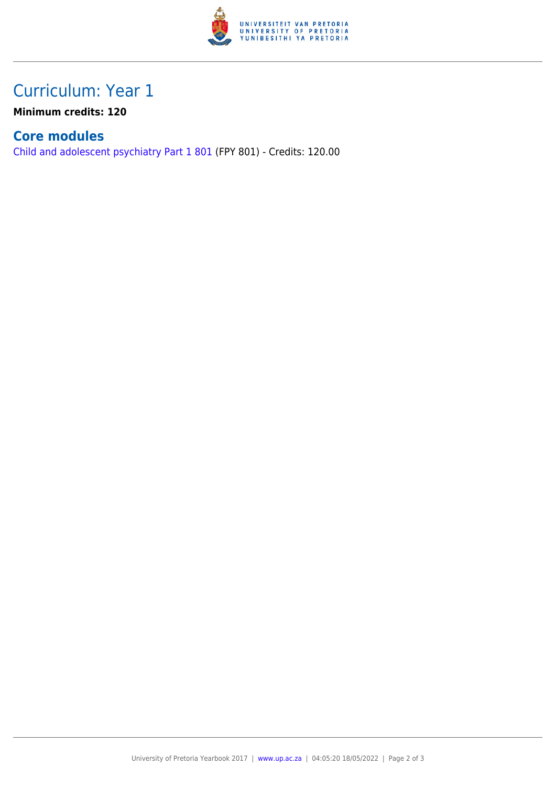

## Curriculum: Year 1

**Minimum credits: 120**

#### **Core modules**

[Child and adolescent psychiatry Part 1 801](https://www.up.ac.za/yearbooks/2017/modules/view/FPY 801) (FPY 801) - Credits: 120.00